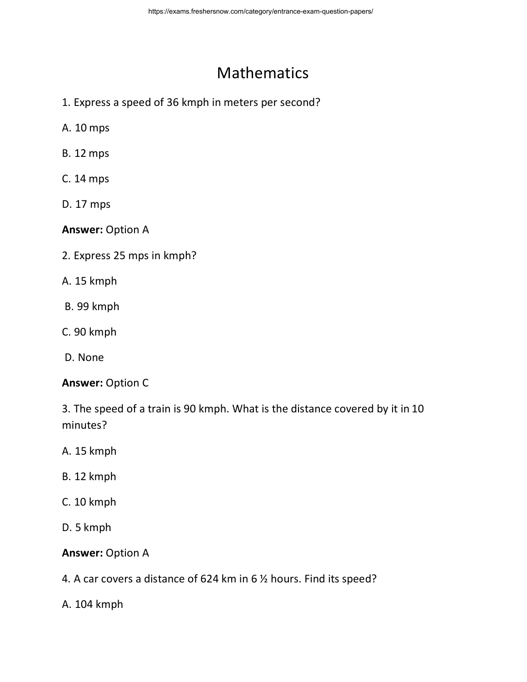# **Mathematics**

- 1. Express a speed of 36 kmph in meters per second?
- A. 10 mps
- B. 12 mps
- C. 14 mps
- D. 17 mps

**Answer:** Option A

- 2. Express 25 mps in kmph?
- A. 15 kmph
- B. 99 kmph
- C. 90 kmph
- D. None

### **Answer:** Option C

3. The speed of a train is 90 kmph. What is the distance covered by it in 10 minutes?

- A. 15 kmph
- B. 12 kmph
- C. 10 kmph
- D. 5 kmph

### **Answer:** Option A

- 4. A car covers a distance of 624 km in 6 ½ hours. Find its speed?
- A. 104 kmph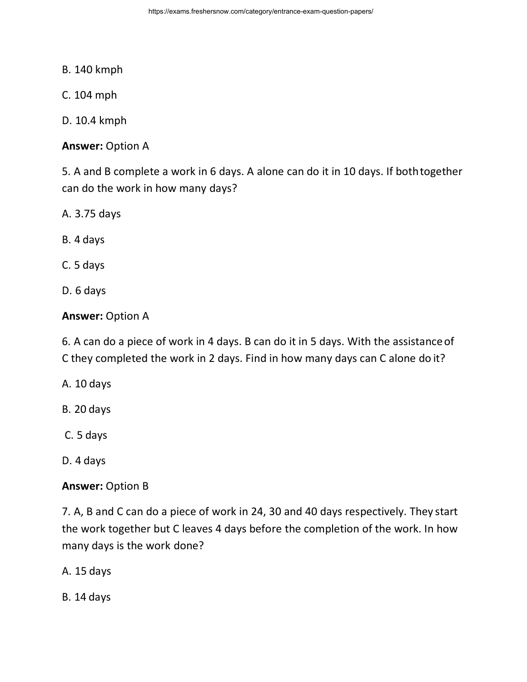- B. 140 kmph
- C. 104 mph
- D. 10.4 kmph

**Answer:** Option A

5. A and B complete a work in 6 days. A alone can do it in 10 days. If bothtogether can do the work in how many days?

- A. 3.75 days
- B. 4 days
- C. 5 days
- D. 6 days

### **Answer:** Option A

6. A can do a piece of work in 4 days. B can do it in 5 days. With the assistanceof C they completed the work in 2 days. Find in how many days can C alone do it?

- A. 10 days
- B. 20 days
- C. 5 days
- D. 4 days

### **Answer:** Option B

7. A, B and C can do a piece of work in 24, 30 and 40 days respectively. They start the work together but C leaves 4 days before the completion of the work. In how many days is the work done?

A. 15 days

B. 14 days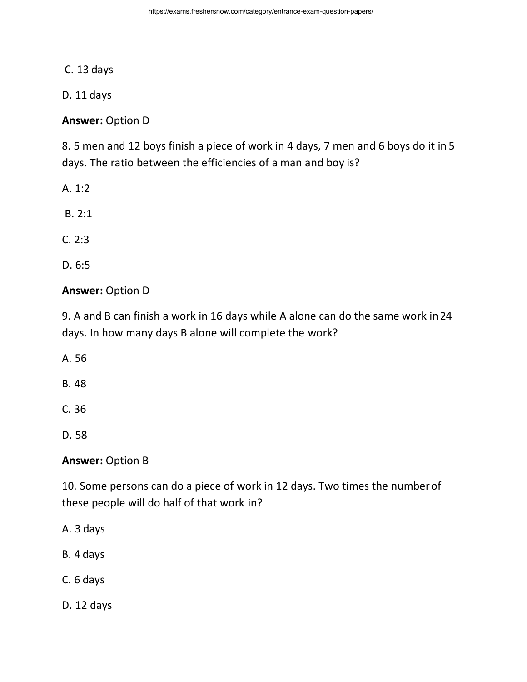C. 13 days

D. 11 days

**Answer:** Option D

8. 5 men and 12 boys finish a piece of work in 4 days, 7 men and 6 boys do it in 5 days. The ratio between the efficiencies of a man and boy is?

A. 1:2

B. 2:1

C. 2:3

D. 6:5

### **Answer:** Option D

9. A and B can finish a work in 16 days while A alone can do the same work in24 days. In how many days B alone will complete the work?

A. 56

B. 48

C. 36

D. 58

### **Answer:** Option B

10. Some persons can do a piece of work in 12 days. Two times the numberof these people will do half of that work in?

- A. 3 days
- B. 4 days
- C. 6 days
- D. 12 days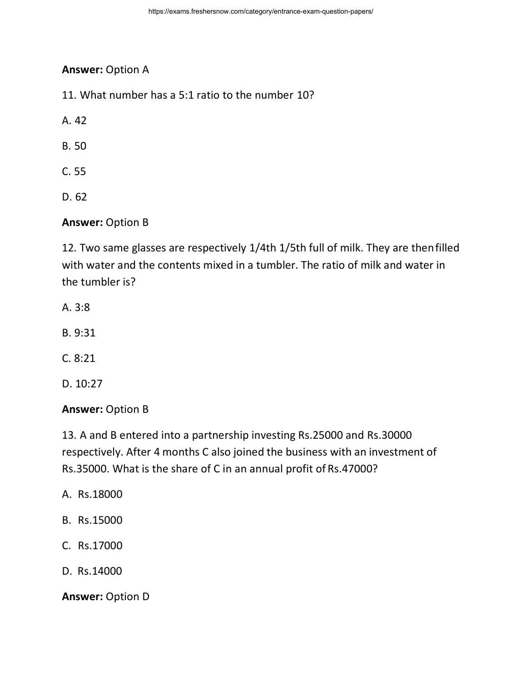## **Answer:** Option A

11. What number has a 5:1 ratio to the number 10?

A. 42

B. 50

- C. 55
- D. 62

## **Answer:** Option B

12. Two same glasses are respectively 1/4th 1/5th full of milk. They are thenfilled with water and the contents mixed in a tumbler. The ratio of milk and water in the tumbler is?

- A. 3:8
- B. 9:31
- C. 8:21
- D. 10:27

#### **Answer:** Option B

13. A and B entered into a partnership investing Rs.25000 and Rs.30000 respectively. After 4 months C also joined the business with an investment of Rs.35000. What is the share of C in an annual profit of Rs.47000?

- A. Rs.18000
- B. Rs.15000
- C. Rs.17000
- D. Rs.14000

#### **Answer:** Option D